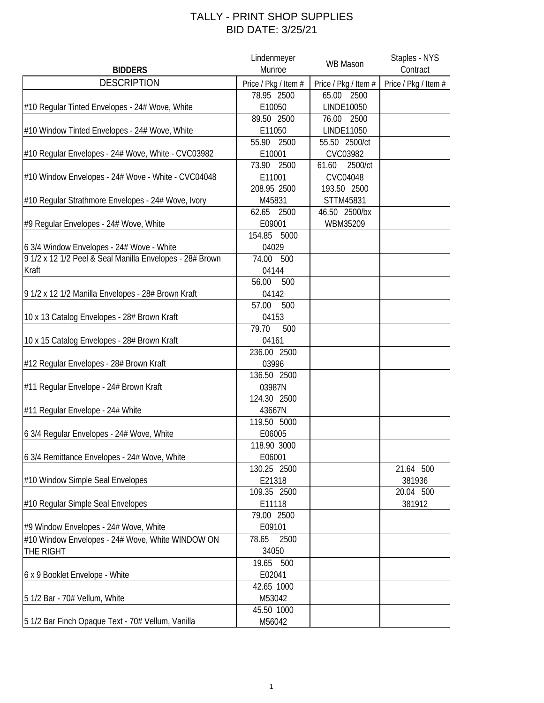## TALLY - PRINT SHOP SUPPLIES BID DATE: 3/25/21

|                                                          | Lindenmeyer          | WB Mason             | Staples - NYS        |
|----------------------------------------------------------|----------------------|----------------------|----------------------|
| <b>BIDDERS</b>                                           | Munroe               |                      | Contract             |
| <b>DESCRIPTION</b>                                       | Price / Pkg / Item # | Price / Pkg / Item # | Price / Pkg / Item # |
|                                                          | 78.95 2500           | 65.00 2500           |                      |
| #10 Regular Tinted Envelopes - 24# Wove, White           | E10050               | LINDE10050           |                      |
|                                                          | 89.50 2500           | 76.00<br>2500        |                      |
| #10 Window Tinted Envelopes - 24# Wove, White            | E11050               | LINDE11050           |                      |
|                                                          | 55.90<br>2500        | 55.50 2500/ct        |                      |
| #10 Regular Envelopes - 24# Wove, White - CVC03982       | E10001               | CVC03982             |                      |
|                                                          | 73.90 2500           | 2500/ct<br>61.60     |                      |
| #10 Window Envelopes - 24# Wove - White - CVC04048       | E11001               | CVC04048             |                      |
|                                                          | 208.95 2500          | 193.50 2500          |                      |
| #10 Regular Strathmore Envelopes - 24# Wove, Ivory       | M45831               | STTM45831            |                      |
|                                                          | 62.65<br>2500        | 46.50 2500/bx        |                      |
| #9 Regular Envelopes - 24# Wove, White                   | E09001               | WBM35209             |                      |
|                                                          | 154.85 5000          |                      |                      |
| 6 3/4 Window Envelopes - 24# Wove - White                | 04029                |                      |                      |
| 9 1/2 x 12 1/2 Peel & Seal Manilla Envelopes - 28# Brown | 74.00<br>500         |                      |                      |
| Kraft                                                    | 04144                |                      |                      |
|                                                          | 56.00<br>500         |                      |                      |
|                                                          | 04142                |                      |                      |
| 9 1/2 x 12 1/2 Manilla Envelopes - 28# Brown Kraft       | 57.00<br>500         |                      |                      |
|                                                          |                      |                      |                      |
| 10 x 13 Catalog Envelopes - 28# Brown Kraft              | 04153<br>79.70       |                      |                      |
|                                                          | 500                  |                      |                      |
| 10 x 15 Catalog Envelopes - 28# Brown Kraft              | 04161<br>236.00 2500 |                      |                      |
|                                                          |                      |                      |                      |
| #12 Regular Envelopes - 28# Brown Kraft                  | 03996                |                      |                      |
|                                                          | 136.50 2500          |                      |                      |
| #11 Regular Envelope - 24# Brown Kraft                   | 03987N               |                      |                      |
|                                                          | 124.30 2500          |                      |                      |
| #11 Regular Envelope - 24# White                         | 43667N               |                      |                      |
|                                                          | 119.50 5000          |                      |                      |
| 6 3/4 Regular Envelopes - 24# Wove, White                | E06005               |                      |                      |
|                                                          | 118.90 3000          |                      |                      |
| 6 3/4 Remittance Envelopes - 24# Wove, White             | E06001               |                      |                      |
|                                                          | 130.25 2500          |                      | 21.64 500            |
| #10 Window Simple Seal Envelopes                         | E21318               |                      | 381936               |
|                                                          | 109.35 2500          |                      | 20.04 500            |
| #10 Regular Simple Seal Envelopes                        | E11118               |                      | 381912               |
|                                                          | 79.00 2500           |                      |                      |
| #9 Window Envelopes - 24# Wove, White                    | E09101               |                      |                      |
| #10 Window Envelopes - 24# Wove, White WINDOW ON         | 78.65<br>2500        |                      |                      |
| THE RIGHT                                                | 34050                |                      |                      |
|                                                          | 19.65 500            |                      |                      |
| 6 x 9 Booklet Envelope - White                           | E02041               |                      |                      |
|                                                          | 42.65 1000           |                      |                      |
| 5 1/2 Bar - 70# Vellum, White                            | M53042               |                      |                      |
|                                                          | 45.50 1000           |                      |                      |
| 5 1/2 Bar Finch Opaque Text - 70# Vellum, Vanilla        | M56042               |                      |                      |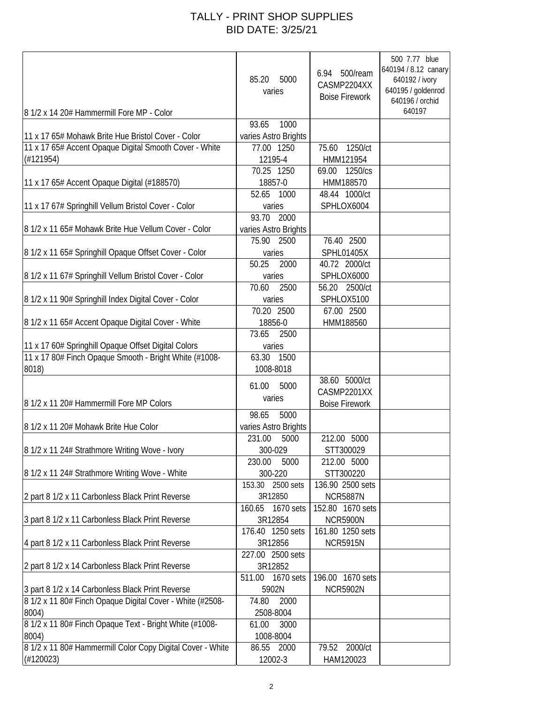## TALLY - PRINT SHOP SUPPLIES BID DATE: 3/25/21

| 8 1/2 x 14 20# Hammermill Fore MP - Color                                                                                 | 5000<br>85.20<br>varies                             | 500/ream<br>6.94<br>CASMP2204XX<br><b>Boise Firework</b> | 500 7.77 blue<br>640194 / 8.12 canary<br>640192 / ivory<br>640195 / goldenrod<br>640196 / orchid<br>640197 |
|---------------------------------------------------------------------------------------------------------------------------|-----------------------------------------------------|----------------------------------------------------------|------------------------------------------------------------------------------------------------------------|
|                                                                                                                           | 93.65<br>1000                                       |                                                          |                                                                                                            |
| 11 x 17 65# Mohawk Brite Hue Bristol Cover - Color<br>11 x 17 65# Accent Opaque Digital Smooth Cover - White<br>(H121954) | varies Astro Brights<br>77.00 1250<br>12195-4       | 1250/ct<br>75.60<br>HMM121954                            |                                                                                                            |
|                                                                                                                           | 70.25 1250                                          | 1250/cs<br>69.00                                         |                                                                                                            |
| 11 x 17 65# Accent Opaque Digital (#188570)                                                                               | 18857-0                                             | HMM188570                                                |                                                                                                            |
| 11 x 17 67# Springhill Vellum Bristol Cover - Color                                                                       | 52.65<br>1000<br>varies                             | 48.44 1000/ct<br>SPHLOX6004                              |                                                                                                            |
| 8 1/2 x 11 65# Mohawk Brite Hue Vellum Cover - Color                                                                      | 93.70 2000<br>varies Astro Brights<br>75.90<br>2500 | 76.40 2500                                               |                                                                                                            |
| 8 1/2 x 11 65# Springhill Opaque Offset Cover - Color                                                                     | varies<br>50.25                                     | SPHL01405X                                               |                                                                                                            |
| 8 1/2 x 11 67# Springhill Vellum Bristol Cover - Color                                                                    | 2000<br>varies                                      | 40.72 2000/ct<br>SPHLOX6000                              |                                                                                                            |
|                                                                                                                           | 70.60<br>2500                                       | 56.20 2500/ct                                            |                                                                                                            |
| 8 1/2 x 11 90# Springhill Index Digital Cover - Color                                                                     | varies                                              | SPHLOX5100                                               |                                                                                                            |
|                                                                                                                           | 70.20 2500                                          | 67.00 2500                                               |                                                                                                            |
| 8 1/2 x 11 65# Accent Opaque Digital Cover - White                                                                        | 18856-0                                             | HMM188560                                                |                                                                                                            |
|                                                                                                                           | 73.65<br>2500                                       |                                                          |                                                                                                            |
| 11 x 17 60# Springhill Opaque Offset Digital Colors<br>11 x 17 80# Finch Opaque Smooth - Bright White (#1008-             | varies<br>63.30<br>1500                             |                                                          |                                                                                                            |
| 8018)                                                                                                                     | 1008-8018                                           |                                                          |                                                                                                            |
| 8 1/2 x 11 20# Hammermill Fore MP Colors                                                                                  | 5000<br>61.00<br>varies                             | 38.60 5000/ct<br>CASMP2201XX<br><b>Boise Firework</b>    |                                                                                                            |
|                                                                                                                           | 98.65<br>5000                                       |                                                          |                                                                                                            |
| 8 1/2 x 11 20# Mohawk Brite Hue Color                                                                                     | varies Astro Brights                                |                                                          |                                                                                                            |
|                                                                                                                           | 231.00<br>5000                                      | 212.00 5000                                              |                                                                                                            |
| 8 1/2 x 11 24# Strathmore Writing Wove - Ivory                                                                            | 300-029                                             | STT300029                                                |                                                                                                            |
|                                                                                                                           | 5000<br>230.00                                      | 212.00 5000                                              |                                                                                                            |
| 8 1/2 x 11 24# Strathmore Writing Wove - White                                                                            | 300-220                                             | STT300220                                                |                                                                                                            |
| 2 part 8 1/2 x 11 Carbonless Black Print Reverse                                                                          | 153.30<br>2500 sets<br>3R12850                      | 136.90 2500 sets<br><b>NCR5887N</b>                      |                                                                                                            |
|                                                                                                                           | 160.65 1670 sets                                    | 152.80 1670 sets                                         |                                                                                                            |
| 3 part 8 1/2 x 11 Carbonless Black Print Reverse                                                                          | 3R12854                                             | <b>NCR5900N</b>                                          |                                                                                                            |
|                                                                                                                           | 176.40 1250 sets                                    | 161.80 1250 sets                                         |                                                                                                            |
| 4 part 8 1/2 x 11 Carbonless Black Print Reverse                                                                          | 3R12856                                             | <b>NCR5915N</b>                                          |                                                                                                            |
|                                                                                                                           | 227.00 2500 sets                                    |                                                          |                                                                                                            |
| 2 part 8 1/2 x 14 Carbonless Black Print Reverse                                                                          | 3R12852                                             |                                                          |                                                                                                            |
| 3 part 8 1/2 x 14 Carbonless Black Print Reverse                                                                          | 511.00<br>1670 sets<br>5902N                        | 196.00 1670 sets<br><b>NCR5902N</b>                      |                                                                                                            |
| 8 1/2 x 11 80# Finch Opaque Digital Cover - White (#2508-                                                                 | 74.80<br>2000                                       |                                                          |                                                                                                            |
| 8004)                                                                                                                     | 2508-8004                                           |                                                          |                                                                                                            |
| 8 1/2 x 11 80# Finch Opaque Text - Bright White (#1008-                                                                   | 3000<br>61.00                                       |                                                          |                                                                                                            |
| 8004)                                                                                                                     | 1008-8004                                           | 79.52 2000/ct                                            |                                                                                                            |
| 8 1/2 x 11 80# Hammermill Color Copy Digital Cover - White<br>(H120023)                                                   | 86.55<br>2000<br>12002-3                            | HAM120023                                                |                                                                                                            |
|                                                                                                                           |                                                     |                                                          |                                                                                                            |